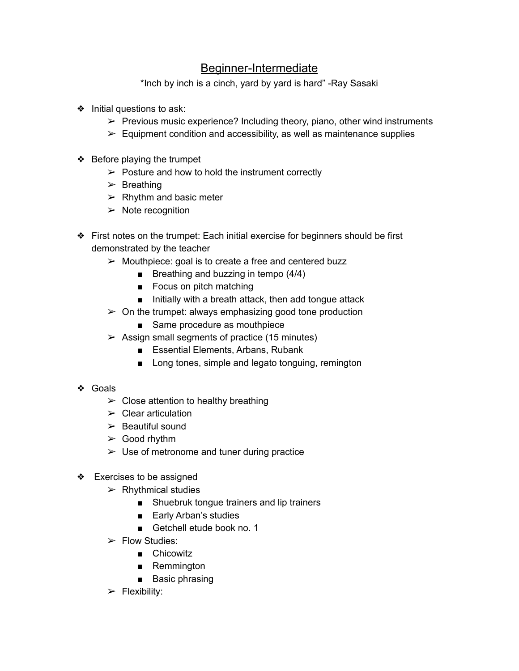## Beginner-Intermediate

\*Inch by inch is a cinch, yard by yard is hard" -Ray Sasaki

- ❖ Initial questions to ask:
	- $\triangleright$  Previous music experience? Including theory, piano, other wind instruments
	- $\triangleright$  Equipment condition and accessibility, as well as maintenance supplies
- ❖ Before playing the trumpet
	- $\triangleright$  Posture and how to hold the instrument correctly
	- $\triangleright$  Breathing
	- $\triangleright$  Rhythm and basic meter
	- $\triangleright$  Note recognition
- ❖ First notes on the trumpet: Each initial exercise for beginners should be first demonstrated by the teacher
	- $\triangleright$  Mouthpiece: goal is to create a free and centered buzz
		- Breathing and buzzing in tempo (4/4)
		- Focus on pitch matching
		- Initially with a breath attack, then add tongue attack
	- $\geq$  On the trumpet: always emphasizing good tone production
		- Same procedure as mouthpiece
	- $\geq$  Assign small segments of practice (15 minutes)
		- Essential Elements, Arbans, Rubank
		- Long tones, simple and legato tonguing, remington
- ❖ Goals
	- $\triangleright$  Close attention to healthy breathing
	- $\triangleright$  Clear articulation
	- $\triangleright$  Beautiful sound
	- $\geq$  Good rhythm
	- $\triangleright$  Use of metronome and tuner during practice
- ❖ Exercises to be assigned
	- $\triangleright$  Rhythmical studies
		- Shuebruk tongue trainers and lip trainers
		- Early Arban's studies
		- Getchell etude book no. 1
	- $\triangleright$  Flow Studies:
		- Chicowitz
		- Remmington
		- Basic phrasing
	- $\triangleright$  Flexibility: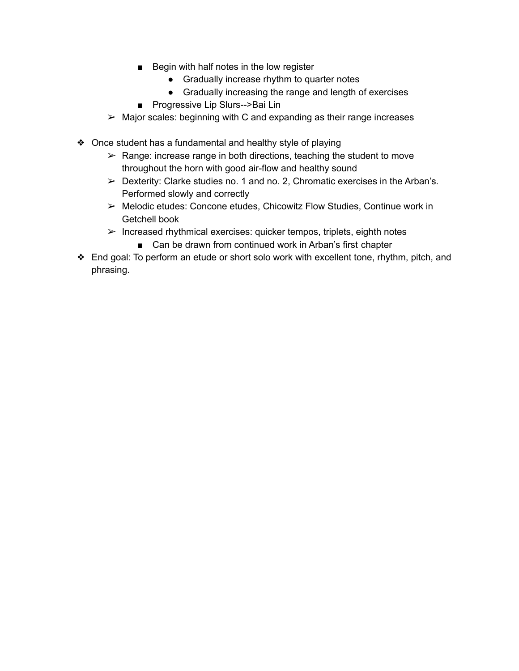- Begin with half notes in the low register
	- Gradually increase rhythm to quarter notes
	- Gradually increasing the range and length of exercises
- Progressive Lip Slurs-->Bai Lin
- $\triangleright$  Major scales: beginning with C and expanding as their range increases
- ❖ Once student has a fundamental and healthy style of playing
	- $\triangleright$  Range: increase range in both directions, teaching the student to move throughout the horn with good air-flow and healthy sound
	- $\triangleright$  Dexterity: Clarke studies no. 1 and no. 2, Chromatic exercises in the Arban's. Performed slowly and correctly
	- ➢ Melodic etudes: Concone etudes, Chicowitz Flow Studies, Continue work in Getchell book
	- $\triangleright$  Increased rhythmical exercises: quicker tempos, triplets, eighth notes
		- Can be drawn from continued work in Arban's first chapter
- ❖ End goal: To perform an etude or short solo work with excellent tone, rhythm, pitch, and phrasing.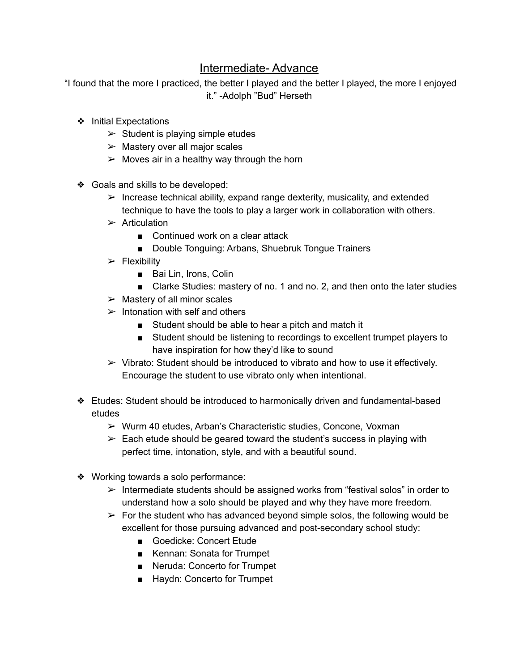## Intermediate- Advance

"I found that the more I practiced, the better I played and the better I played, the more I enjoyed it." -Adolph "Bud" Herseth

- ❖ Initial Expectations
	- $\triangleright$  Student is playing simple etudes
	- $\triangleright$  Mastery over all major scales
	- $\triangleright$  Moves air in a healthy way through the horn
- ❖ Goals and skills to be developed:
	- $\triangleright$  Increase technical ability, expand range dexterity, musicality, and extended technique to have the tools to play a larger work in collaboration with others.
	- $\triangleright$  Articulation
		- Continued work on a clear attack
		- Double Tonguing: Arbans, Shuebruk Tongue Trainers
	- $\triangleright$  Flexibility
		- Bai Lin, Irons, Colin
		- Clarke Studies: mastery of no. 1 and no. 2, and then onto the later studies
	- $\triangleright$  Mastery of all minor scales
	- $\blacktriangleright$  Intonation with self and others
		- Student should be able to hear a pitch and match it
		- Student should be listening to recordings to excellent trumpet players to have inspiration for how they'd like to sound
	- $\triangleright$  Vibrato: Student should be introduced to vibrato and how to use it effectively. Encourage the student to use vibrato only when intentional.
- ❖ Etudes: Student should be introduced to harmonically driven and fundamental-based etudes
	- ➢ Wurm 40 etudes, Arban's Characteristic studies, Concone, Voxman
	- $\triangleright$  Each etude should be geared toward the student's success in playing with perfect time, intonation, style, and with a beautiful sound.
- ❖ Working towards a solo performance:
	- $\triangleright$  Intermediate students should be assigned works from "festival solos" in order to understand how a solo should be played and why they have more freedom.
	- $\triangleright$  For the student who has advanced beyond simple solos, the following would be excellent for those pursuing advanced and post-secondary school study:
		- Goedicke: Concert Etude
		- Kennan: Sonata for Trumpet
		- Neruda: Concerto for Trumpet
		- Haydn: Concerto for Trumpet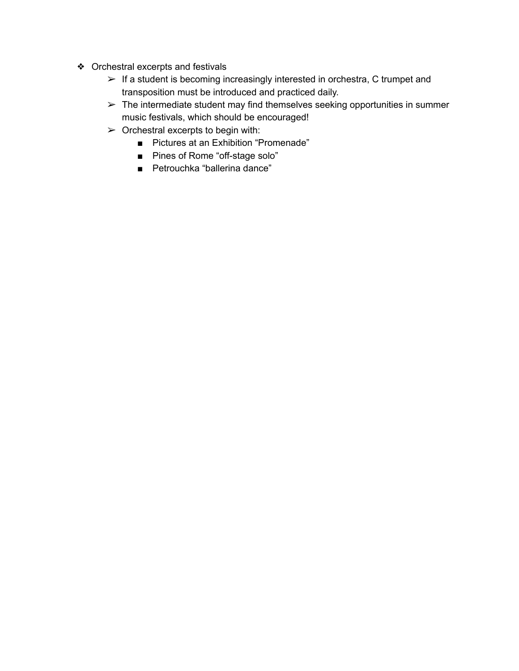- ❖ Orchestral excerpts and festivals
	- $\triangleright$  If a student is becoming increasingly interested in orchestra, C trumpet and transposition must be introduced and practiced daily.
	- $\triangleright$  The intermediate student may find themselves seeking opportunities in summer music festivals, which should be encouraged!
	- $\triangleright$  Orchestral excerpts to begin with:
		- Pictures at an Exhibition "Promenade"
		- Pines of Rome "off-stage solo"
		- Petrouchka "ballerina dance"